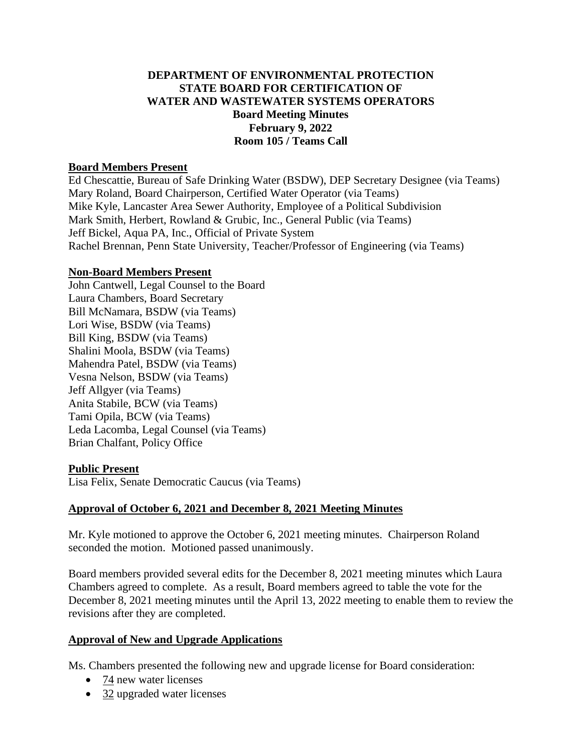## **DEPARTMENT OF ENVIRONMENTAL PROTECTION STATE BOARD FOR CERTIFICATION OF WATER AND WASTEWATER SYSTEMS OPERATORS Board Meeting Minutes February 9, 2022 Room 105 / Teams Call**

#### **Board Members Present**

Ed Chescattie, Bureau of Safe Drinking Water (BSDW), DEP Secretary Designee (via Teams) Mary Roland, Board Chairperson, Certified Water Operator (via Teams) Mike Kyle, Lancaster Area Sewer Authority, Employee of a Political Subdivision Mark Smith, Herbert, Rowland & Grubic, Inc., General Public (via Teams) Jeff Bickel, Aqua PA, Inc., Official of Private System Rachel Brennan, Penn State University, Teacher/Professor of Engineering (via Teams)

### **Non-Board Members Present**

John Cantwell, Legal Counsel to the Board Laura Chambers, Board Secretary Bill McNamara, BSDW (via Teams) Lori Wise, BSDW (via Teams) Bill King, BSDW (via Teams) Shalini Moola, BSDW (via Teams) Mahendra Patel, BSDW (via Teams) Vesna Nelson, BSDW (via Teams) Jeff Allgyer (via Teams) Anita Stabile, BCW (via Teams) Tami Opila, BCW (via Teams) Leda Lacomba, Legal Counsel (via Teams) Brian Chalfant, Policy Office

## **Public Present**

Lisa Felix, Senate Democratic Caucus (via Teams)

## **Approval of October 6, 2021 and December 8, 2021 Meeting Minutes**

Mr. Kyle motioned to approve the October 6, 2021 meeting minutes. Chairperson Roland seconded the motion. Motioned passed unanimously.

Board members provided several edits for the December 8, 2021 meeting minutes which Laura Chambers agreed to complete. As a result, Board members agreed to table the vote for the December 8, 2021 meeting minutes until the April 13, 2022 meeting to enable them to review the revisions after they are completed.

## **Approval of New and Upgrade Applications**

Ms. Chambers presented the following new and upgrade license for Board consideration:

- 74 new water licenses
- 32 upgraded water licenses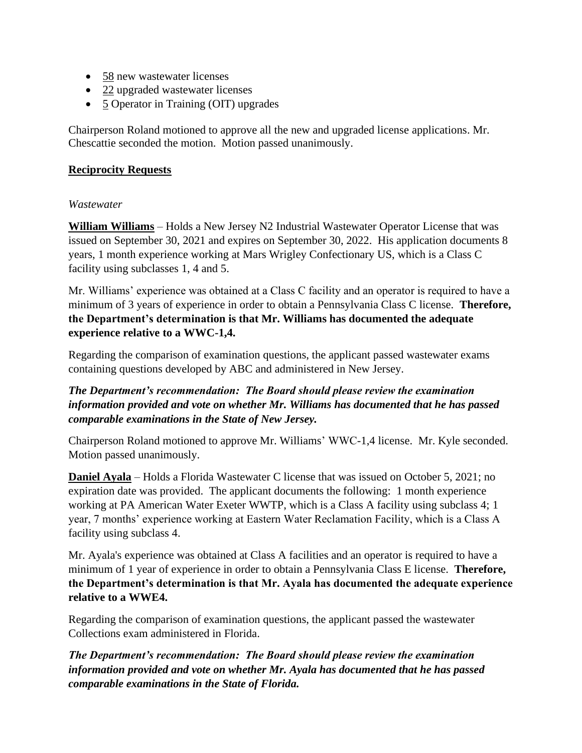- 58 new wastewater licenses
- 22 upgraded wastewater licenses
- 5 Operator in Training (OIT) upgrades

Chairperson Roland motioned to approve all the new and upgraded license applications. Mr. Chescattie seconded the motion. Motion passed unanimously.

## **Reciprocity Requests**

## *Wastewater*

**William Williams** – Holds a New Jersey N2 Industrial Wastewater Operator License that was issued on September 30, 2021 and expires on September 30, 2022. His application documents 8 years, 1 month experience working at Mars Wrigley Confectionary US, which is a Class C facility using subclasses 1, 4 and 5.

Mr. Williams' experience was obtained at a Class C facility and an operator is required to have a minimum of 3 years of experience in order to obtain a Pennsylvania Class C license. **Therefore, the Department's determination is that Mr. Williams has documented the adequate experience relative to a WWC-1,4.**

Regarding the comparison of examination questions, the applicant passed wastewater exams containing questions developed by ABC and administered in New Jersey.

*The Department's recommendation: The Board should please review the examination information provided and vote on whether Mr. Williams has documented that he has passed comparable examinations in the State of New Jersey.*

Chairperson Roland motioned to approve Mr. Williams' WWC-1,4 license. Mr. Kyle seconded. Motion passed unanimously.

**Daniel Ayala** – Holds a Florida Wastewater C license that was issued on October 5, 2021; no expiration date was provided. The applicant documents the following: 1 month experience working at PA American Water Exeter WWTP, which is a Class A facility using subclass 4; 1 year, 7 months' experience working at Eastern Water Reclamation Facility, which is a Class A facility using subclass 4.

Mr. Ayala's experience was obtained at Class A facilities and an operator is required to have a minimum of 1 year of experience in order to obtain a Pennsylvania Class E license. **Therefore, the Department's determination is that Mr. Ayala has documented the adequate experience relative to a WWE4.**

Regarding the comparison of examination questions, the applicant passed the wastewater Collections exam administered in Florida.

*The Department's recommendation: The Board should please review the examination information provided and vote on whether Mr. Ayala has documented that he has passed comparable examinations in the State of Florida.*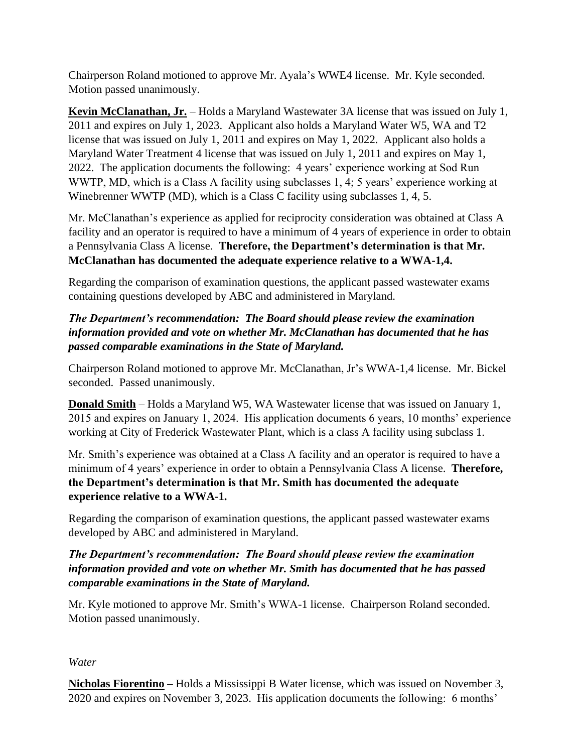Chairperson Roland motioned to approve Mr. Ayala's WWE4 license. Mr. Kyle seconded. Motion passed unanimously.

**Kevin McClanathan, Jr.** – Holds a Maryland Wastewater 3A license that was issued on July 1, 2011 and expires on July 1, 2023. Applicant also holds a Maryland Water W5, WA and T2 license that was issued on July 1, 2011 and expires on May 1, 2022. Applicant also holds a Maryland Water Treatment 4 license that was issued on July 1, 2011 and expires on May 1, 2022. The application documents the following: 4 years' experience working at Sod Run WWTP, MD, which is a Class A facility using subclasses 1, 4; 5 years' experience working at Winebrenner WWTP (MD), which is a Class C facility using subclasses 1, 4, 5.

Mr. McClanathan's experience as applied for reciprocity consideration was obtained at Class A facility and an operator is required to have a minimum of 4 years of experience in order to obtain a Pennsylvania Class A license. **Therefore, the Department's determination is that Mr. McClanathan has documented the adequate experience relative to a WWA-1,4.**

Regarding the comparison of examination questions, the applicant passed wastewater exams containing questions developed by ABC and administered in Maryland.

# *The Department's recommendation: The Board should please review the examination information provided and vote on whether Mr. McClanathan has documented that he has passed comparable examinations in the State of Maryland.*

Chairperson Roland motioned to approve Mr. McClanathan, Jr's WWA-1,4 license. Mr. Bickel seconded. Passed unanimously.

**Donald Smith** – Holds a Maryland W5, WA Wastewater license that was issued on January 1, 2015 and expires on January 1, 2024. His application documents 6 years, 10 months' experience working at City of Frederick Wastewater Plant, which is a class A facility using subclass 1.

Mr. Smith's experience was obtained at a Class A facility and an operator is required to have a minimum of 4 years' experience in order to obtain a Pennsylvania Class A license. **Therefore, the Department's determination is that Mr. Smith has documented the adequate experience relative to a WWA-1.** 

Regarding the comparison of examination questions, the applicant passed wastewater exams developed by ABC and administered in Maryland.

# *The Department's recommendation: The Board should please review the examination information provided and vote on whether Mr. Smith has documented that he has passed comparable examinations in the State of Maryland.*

Mr. Kyle motioned to approve Mr. Smith's WWA-1 license. Chairperson Roland seconded. Motion passed unanimously.

## *Water*

**Nicholas Fiorentino –** Holds a Mississippi B Water license, which was issued on November 3, 2020 and expires on November 3, 2023. His application documents the following: 6 months'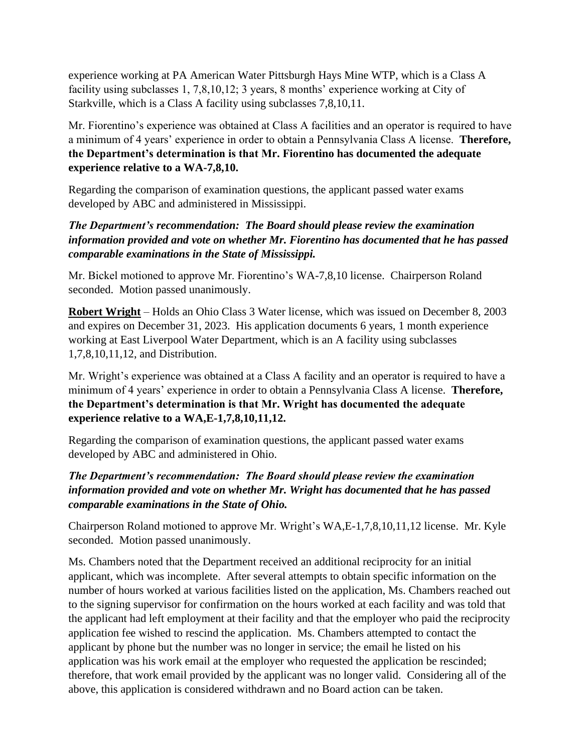experience working at PA American Water Pittsburgh Hays Mine WTP, which is a Class A facility using subclasses 1, 7,8,10,12; 3 years, 8 months' experience working at City of Starkville, which is a Class A facility using subclasses 7,8,10,11.

Mr. Fiorentino's experience was obtained at Class A facilities and an operator is required to have a minimum of 4 years' experience in order to obtain a Pennsylvania Class A license. **Therefore, the Department's determination is that Mr. Fiorentino has documented the adequate experience relative to a WA-7,8,10.** 

Regarding the comparison of examination questions, the applicant passed water exams developed by ABC and administered in Mississippi.

*The Department's recommendation: The Board should please review the examination information provided and vote on whether Mr. Fiorentino has documented that he has passed comparable examinations in the State of Mississippi.*

Mr. Bickel motioned to approve Mr. Fiorentino's WA-7,8,10 license. Chairperson Roland seconded. Motion passed unanimously.

**Robert Wright** – Holds an Ohio Class 3 Water license, which was issued on December 8, 2003 and expires on December 31, 2023. His application documents 6 years, 1 month experience working at East Liverpool Water Department, which is an A facility using subclasses 1,7,8,10,11,12, and Distribution.

Mr. Wright's experience was obtained at a Class A facility and an operator is required to have a minimum of 4 years' experience in order to obtain a Pennsylvania Class A license. **Therefore, the Department's determination is that Mr. Wright has documented the adequate experience relative to a WA,E-1,7,8,10,11,12.** 

Regarding the comparison of examination questions, the applicant passed water exams developed by ABC and administered in Ohio.

# *The Department's recommendation: The Board should please review the examination information provided and vote on whether Mr. Wright has documented that he has passed comparable examinations in the State of Ohio.*

Chairperson Roland motioned to approve Mr. Wright's WA,E-1,7,8,10,11,12 license. Mr. Kyle seconded. Motion passed unanimously.

Ms. Chambers noted that the Department received an additional reciprocity for an initial applicant, which was incomplete. After several attempts to obtain specific information on the number of hours worked at various facilities listed on the application, Ms. Chambers reached out to the signing supervisor for confirmation on the hours worked at each facility and was told that the applicant had left employment at their facility and that the employer who paid the reciprocity application fee wished to rescind the application. Ms. Chambers attempted to contact the applicant by phone but the number was no longer in service; the email he listed on his application was his work email at the employer who requested the application be rescinded; therefore, that work email provided by the applicant was no longer valid. Considering all of the above, this application is considered withdrawn and no Board action can be taken.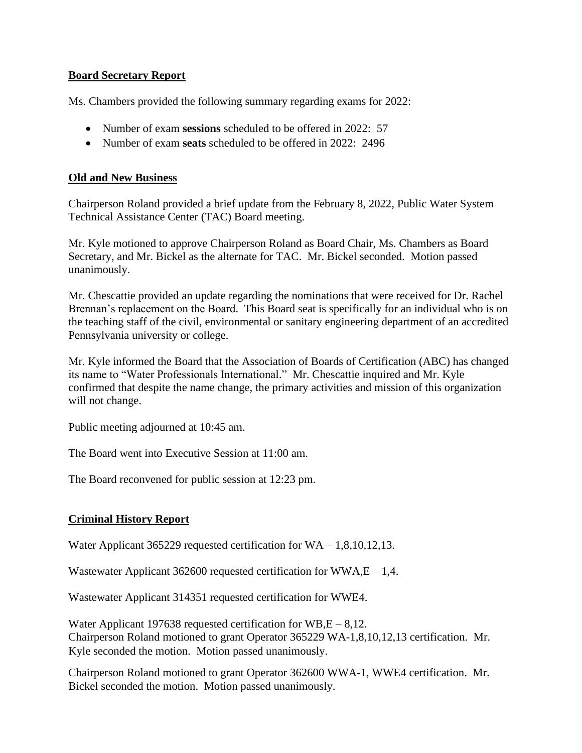## **Board Secretary Report**

Ms. Chambers provided the following summary regarding exams for 2022:

- Number of exam **sessions** scheduled to be offered in 2022: 57
- Number of exam **seats** scheduled to be offered in 2022: 2496

### **Old and New Business**

Chairperson Roland provided a brief update from the February 8, 2022, Public Water System Technical Assistance Center (TAC) Board meeting.

Mr. Kyle motioned to approve Chairperson Roland as Board Chair, Ms. Chambers as Board Secretary, and Mr. Bickel as the alternate for TAC. Mr. Bickel seconded. Motion passed unanimously.

Mr. Chescattie provided an update regarding the nominations that were received for Dr. Rachel Brennan's replacement on the Board. This Board seat is specifically for an individual who is on the teaching staff of the civil, environmental or sanitary engineering department of an accredited Pennsylvania university or college.

Mr. Kyle informed the Board that the Association of Boards of Certification (ABC) has changed its name to "Water Professionals International." Mr. Chescattie inquired and Mr. Kyle confirmed that despite the name change, the primary activities and mission of this organization will not change.

Public meeting adjourned at 10:45 am.

The Board went into Executive Session at 11:00 am.

The Board reconvened for public session at 12:23 pm.

#### **Criminal History Report**

Water Applicant 365229 requested certification for WA – 1,8,10,12,13.

Wastewater Applicant  $362600$  requested certification for WWA,  $E - 1.4$ .

Wastewater Applicant 314351 requested certification for WWE4.

Water Applicant 197638 requested certification for WB, E – 8,12. Chairperson Roland motioned to grant Operator 365229 WA-1,8,10,12,13 certification. Mr. Kyle seconded the motion. Motion passed unanimously.

Chairperson Roland motioned to grant Operator 362600 WWA-1, WWE4 certification. Mr. Bickel seconded the motion. Motion passed unanimously.